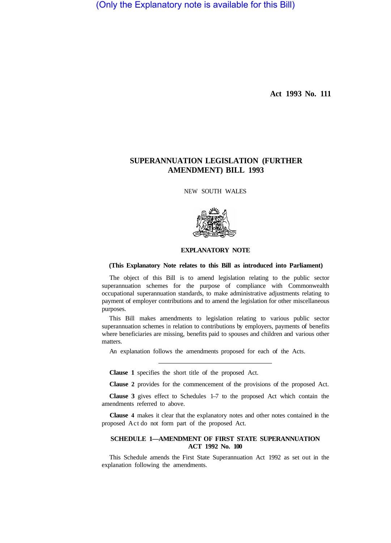(Only the Explanatory note is available for this Bill)

**Act 1993 No. 111** 

# **SUPERANNUATION LEGISLATION (FURTHER AMENDMENT) BILL 1993**

NEW SOUTH WALES



# **EXPLANATORY NOTE**

#### **(This Explanatory Note relates to this Bill as introduced into Parliament)**

The object of this Bill is to amend legislation relating to the public sector superannuation schemes for the purpose of compliance with Commonwealth occupational superannuation standards, to make administrative adjustments relating to payment of employer contributions and to amend the legislation for other miscellaneous purposes.

This Bill makes amendments to legislation relating to various public sector superannuation schemes in relation to contributions by employers, payments of benefits where beneficiaries are missing, benefits paid to spouses and children and various other matters.

An explanation follows the amendments proposed for each of the Acts.

**Clause 1** specifies the short title of the proposed Act.

**Clause 2** provides for the commencement of the provisions of the proposed Act.

**Clause 3** gives effect to Schedules 1–7 to the proposed Act which contain the amendments referred to above.

**Clause 4** makes it clear that the explanatory notes and other notes contained in the proposed Act do not form part of the proposed Act.

# **SCHEDULE 1—AMENDMENT OF FIRST STATE SUPERANNUATION ACT 1992 No. 100**

This Schedule amends the First State Superannuation Act 1992 as set out in the explanation following the amendments.